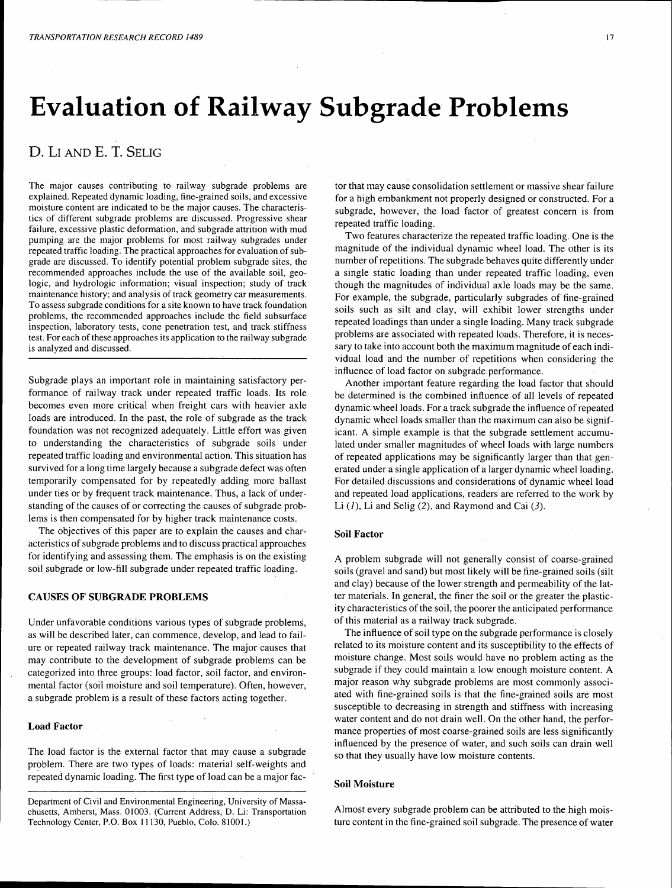# **Evaluation of Railway Subgrade Problems**

# **D.** Lr AND **E. T.** SELIG

The major causes contributing to railway subgrade problems are explained. Repeated dynamic loading, fine-grained soils, and excessive moisture content are indicated to be the major causes. The characteristics of different subgrade problems are discussed. Progressive shear failure, excessive plastic deformation, and subgrade attrition with mud pumping are the major problems for most railway subgrades under repeated traffic loading. The practical approaches for evaluation of subgrade are discussed. To identify potential problem subgrade sites, the recommended approaches include the use of the available soil, geologic, and hydrologic information; visual inspection; study of track maintenance history; and analysis of track geometry car measurements. To assess subgrade conditions for a site known to have track foundation problems, the recommended approaches include the field subsurface inspection, laboratory tests, cone penetration test, and track stiffness test. For each of these approaches its application to the railway subgrade is analyzed and discussed.

Subgrade plays an important role in maintaining satisfactory performance of railway track under repeated traffic loads. Its role becomes even more critical when freight cars with heavier axle loads are introduced. In the past, the role of subgrade as the track foundation was not recognized adequately. Little effort was given to understanding the characteristics of subgrade soils under repeated traffic loading and environmental action. This situation has survived for a long time largely because a subgrade defect was often temporarily compensated for by repeatedly adding more ballast under ties or by frequent track maintenance. Thus, a lack of understanding of the causes of or correcting the causes of subgrade problems is then compensated for by higher track maintenance costs.

The objectives of this paper are to explain the causes and characteristics of subgrade problems and to discuss practical approaches for identifying and assessing them. The emphasis is on the existing soil subgrade or low-fill subgrade under repeated traffic loading.

## **CAUSES OF SUBGRADE PROBLEMS**

Under unfavorable conditions various types of subgrade problems, as will be described later, can commence, develop, and lead to failure or repeated railway track maintenance. The major causes that may contribute to the development of subgrade problems can be categorized into three groups: load factor, soil factor, and environmental factor (soil moisture and soil temperature). Often, however, a subgrade problem is a result of these factors acting together.

#### **Load Factor**

The load factor is the external factor that may cause a subgrade problem. There are two types of loads: material self-weights and repeated dynamic loading. The first type of load can be a major factor that may cause consolidation settlement or massive shear failure for a high embankment not properly designed or constructed. For a subgrade, however, the load factor of greatest concern is from repeated traffic loading.

Two features characterize the repeated traffic loading. One is the magnitude of the individual dynamic wheel load. The other is its number of repetitions. The subgrade behaves quite differently under a single static loading than under repeated traffic loading, even though the magnitudes of individual axle loads may be the same. For example, the subgrade, particularly subgrades of fine-grained soils such as silt and clay, will exhibit lower strengths under repeated loadings than under a single loading. Many track subgrade problems are associated with repeated loads. Therefore, it is necessary to take into account both the maximum magnitude of each individual load and the number of repetitions when considering the influence of load factor on subgrade performance.

Another important feature regarding the load factor that should be determined is the combined influence of all levels of repeated dynamic wheel loads. For a track subgrade the influence of repeated dynamic wheel loads smaller than the maximum can also be significant. A simple example is that the subgrade settlement accumulated under smaller magnitudes of wheel loads with large numbers of repeated applications may be significantly larger than that generated under a single application of a larger dynamic wheel loading. For detailed discussions and considerations of dynamic wheel load and repeated load applications, readers are referred to the work by Li  $(1)$ , Li and Selig  $(2)$ , and Raymond and Cai  $(3)$ .

### **Soil Factor**

A problem subgrade will not generally consist of coarse-grained soils (gravel and sand) but most likely will be fine-grained soils (silt and clay) because of the lower strength and permeability of the latter materials. In general, the finer the soil or the greater the plasticity characteristics of the soil, the poorer the anticipated performance of this material as a railway track subgrade.

The influence of soil type on the subgrade performance is closely related to its moisture content and its susceptibility to the effects of moisture change. Most soils would have no problem acting as the subgrade if they could maintain a low enough moisture content. A major reason why subgrade problems are most commonly associated with fine-grained soils is that the fine-grained soils are most susceptible to decreasing in strength and stiffness with increasing water content and do not drain well. On the other hand, the performance properties of most coarse-grained soils are less significantly influenced by the presence of water, and such soils can drain well so that they usually have low moisture contents.

#### **Soil Moisture**

Almost every subgrade problem can be attributed to the high moisture content in the fine-grained soil subgrade. The presence of water

Department of Civil and Environmental Engineering, University of Massachusetts, Amherst, Mass. 01003. (Current Address, D. Li: Transportation Technology Center, P.O. Box 11130, Pueblo, Colo. 81001.)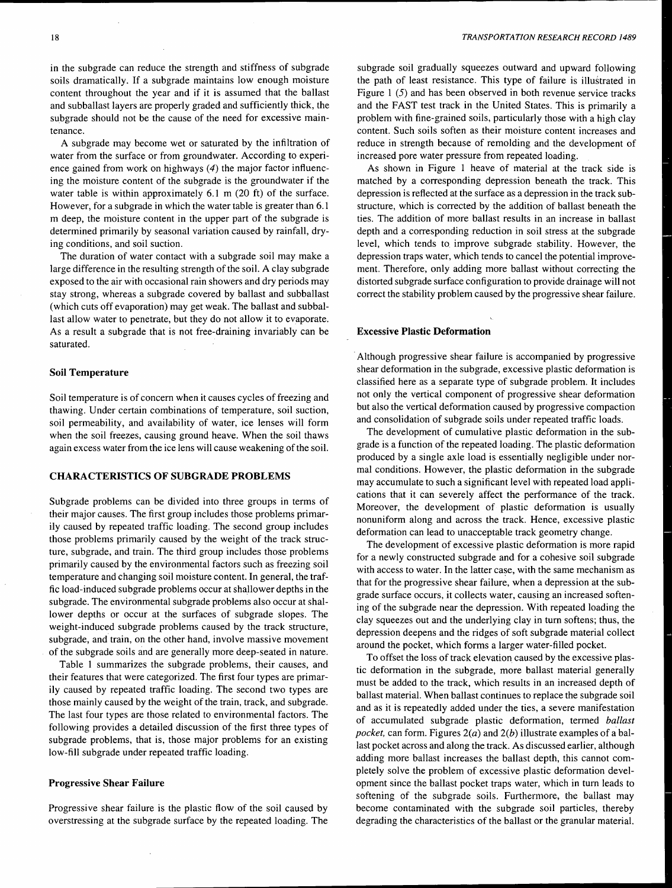in the subgrade can reduce the strength and stiffness of subgrade soils dramatically. If a subgrade maintains low enough moisture content throughout the year and if it is assumed that the ballast and subballast layers are properly graded and sufficiently thick, the subgrade should not be the cause of the need for excessive maintenance.

A subgrade may become wet or saturated by the infiltration of water from the surface or from groundwater. According to experience gained from work on highways  $(4)$  the major factor influencing the moisture content of the subgrade is the groundwater if the water table is within approximately 6.1 m (20 ft) of the surface. However, for a subgrade in which the water table is greater than 6.1 m deep, the moisture content in the upper part of the subgrade is determined primarily by seasonal variation caused by rainfall, drying conditions, and soil suction.

The duration of water contact with a subgrade soil may make a large difference in the resulting strength of the soil. A clay subgrade exposed to the air with occasional rain showers and dry periods may stay strong, whereas a subgrade covered by ballast and subballast (which cuts off evaporation) may get weak. The ballast and subballast allow water to penetrate, but they do not allow it to evaporate. As a result a subgrade that is not free-draining invariably can be saturated.

#### Soil Temperature

Soil temperature is of concern when it causes cycles of freezing and thawing. Under certain combinations of temperature, soil suction, soil permeability, and availability of water, ice lenses will form when the soil freezes, causing ground heave. When the soil thaws again excess water from the ice lens will cause weakening of the soil.

#### CHARACTERISTICS OF SUBGRADE PROBLEMS

Subgrade problems can be divided into three groups in terms of their major causes. The first group includes those problems primarily caused by repeated traffic loading. The second group includes those problems primarily caused by the weight of the track structure, subgrade, and train. The third group includes those problems primarily caused by the environmental factors such as freezing soil temperature and changing soil moisture content. In general, the traffic load-induced subgrade problems occur at shallower depths in the subgrade. The environmental subgrade problems also occur at shallower depths or occur at the surfaces of subgrade slopes. The weight-induced subgrade problems caused by the track structure, subgrade, and train, on the other hand, involve massive movement of the subgrade soils and are generally more deep-seated in nature.

Table I summarizes the subgrade problems, their causes, and their features that were categorized. The first four types are primarily caused by repeated traffic loading. The second two types are those mainly caused by the weight of the train, track, and subgrade. The last four types are those related to environmental factors. The following provides a detailed discussion of the first three types of subgrade problems, that is, those major problems for an existing low-fill subgrade under repeated traffic loading.

#### Progressive Shear Failure

Progressive shear failure is the plastic flow of the soil caused by overstressing at the subgrade surface by the repeated loading. The subgrade soil gradually squeezes outward and upward following the path of least resistance. This type of failure is illustrated in Figure 1 (5) and has been observed in both revenue service tracks and the FAST test track in the United States. This is primarily a problem with fine-grained soils, particularly those with a high clay content. Such soils soften as their moisture content increases and reduce in strength because of remolding and the development of increased pore water pressure from repeated loading.

As shown in Figure 1 heave of material at the track side is matched by a corresponding depression beneath the track. This depression is reflected at the surface as a depression in the track substructure, which is corrected by the addition of ballast beneath the ties. The addition of more ballast results in an increase in ballast depth and a corresponding reduction in soil stress at the subgrade level, which tends to improve subgrade stability. However, the depression traps water, which tends to cancel the potential improvement. Therefore, only adding more ballast without correcting the distorted subgrade surface configuration to provide drainage will not correct the stability problem caused by the progressive shear failure.

#### Excessive Plastic Deformation

Although progressive shear failure is accompanied by progressive shear deformation in the subgrade, excessive plastic deformation is classified here as a separate type of subgrade problem. It includes not only the vertical component of progressive shear deformation but also the vertical deformation caused by progressive compaction and consolidation of subgrade soils under repeated traffic loads.

The development of cumulative plastic deformation in the subgrade is a function of the repeated loading. The plastic deformation produced by a single axle load is essentially negligible under normal conditions. However, the plastic deformation in the subgrade may accumulate to such a significant level with repeated load applications that it can severely affect the performance of the track. Moreover, the development of plastic deformation is usually nonuniform along and across the track. Hence, excessive plastic deformation can lead to unacceptable track geometry change.

The development of excessive plastic deformation is more rapid for a newly constructed subgrade and for a cohesive soil subgrade with access to water. In the latter case, with the same mechanism as that for the progressive shear failure, when a depression at the subgrade surface occurs, it collects water, causing an increased softening of the subgrade near the depression. With repeated loading the clay squeezes out and the underlying clay in tum softens; thus, the depression deepens and the ridges of soft subgrade material collect around the pocket, which forms a larger water-filled pocket.

To offset the loss of track elevation caused by the excessive plastic deformation in the subgrade, more ballast material generally must be added to the track, which results in an increased depth of ballast material. When ballast continues to replace the subgrade soil and as it is repeatedly added under the ties, a severe manifestation of accumulated subgrade plastic deformation, termed *baUast pocket,* can form. Figures 2(a) and 2(b) illustrate examples of a ballast pocket across and along the track. As discussed earlier, although adding more ballast increases the ballast depth, this cannot completely solve the problem of excessive plastic deformation development since the ballast pocket traps water, which in tum leads to softening of the subgrade soils. Furthermore, the ballast may become contaminated with the subgrade soil particles, thereby degrading the characteristics of the ballast or the granular material.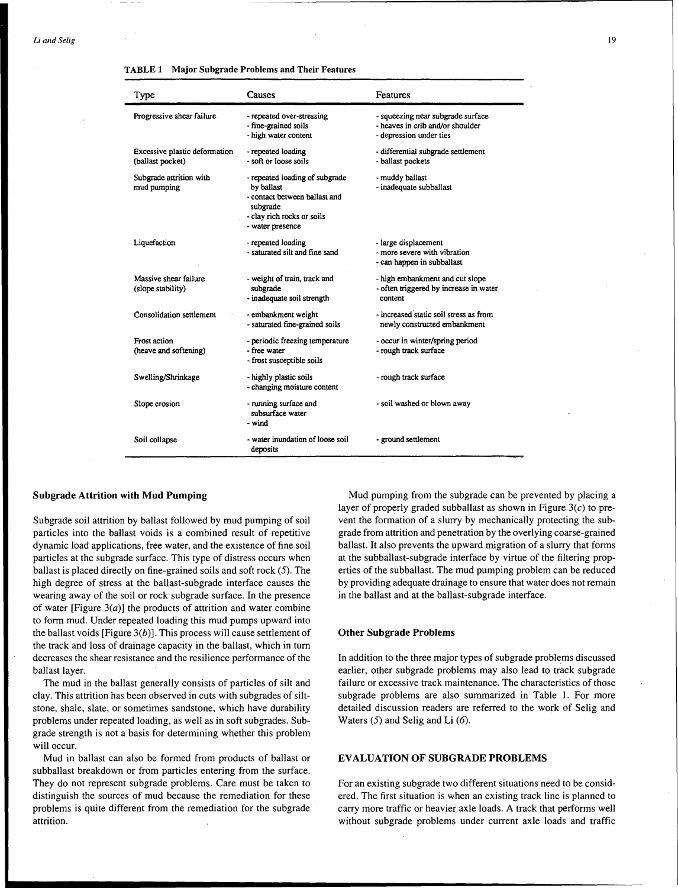| Type                                              | Causes                                                                                                                                      | Features                                                                                         |
|---------------------------------------------------|---------------------------------------------------------------------------------------------------------------------------------------------|--------------------------------------------------------------------------------------------------|
| Progressive shear failure                         | - repeated over-stressing<br>- fine-grained soils<br>- high water content                                                                   | - squeezing near subgrade surface<br>- heaves in crib and/or shoulder<br>- depression under ties |
| Excessive plastic deformation<br>(ballast pocket) | - repeated loading<br>- soft or loose soils                                                                                                 | - differential subgrade settlement<br>- ballast pockets                                          |
| Subgrade attrition with<br>mud pumping            | - repeated loading of subgrade<br>by ballast<br>- contact between ballast and<br>subgrade<br>- clay rich rocks or soils<br>- water presence | - muddy ballast<br>- inadequate subballast                                                       |
| Liquefaction                                      | - repeated loading<br>- saturated silt and fine sand                                                                                        | - large displacement<br>- more severe with vibration<br>- can happen in subballast               |
| Massive shear failure<br>(slope stability)        | - weight of train, track and<br>subgrade<br>- inadequate soil strength                                                                      | - high embankment and cut slope<br>- often triggered by increase in water<br>content             |
| Consolidation settlement                          | - embankment weight<br>- saturated fine-grained soils                                                                                       | - increased static soil stress as from<br>newly constructed embankment                           |
| <b>Frost action</b><br>(heave and softening)      | - periodic freezing temperature<br>- free water<br>- frost susceptible soils                                                                | - occur in winter/spring period<br>- rough track surface                                         |
| Swelling/Shrinkage                                | - highly plastic soils<br>- changing moisture content                                                                                       | - rough track surface                                                                            |
| Slope erosion                                     | - running surface and<br>subsurface water<br>- wind                                                                                         | - soil washed or blown away                                                                      |
| Soil collapse                                     | - water inundation of loose soil<br>deposits                                                                                                | - ground settlement                                                                              |

TABLE 1 Major Subgrade Problems and Their Features

#### Subgrade Attrition with Mud Pumping

Subgrade soil attrition by ballast followed by mud pumping of soil particles into the ballast voids is a combined result of repetitive dynamic load applications, free water, and the existence of fine soil particles at the subgrade surface. This type of distress occurs when ballast is placed directly on fine-grained soils and soft rock (5). The high degree of stress at the ballast-subgrade interface causes the wearing away of the soil or rock subgrade surface. In the presence of water [Figure  $3(a)$ ] the products of attrition and water combine to form mud. Under repeated loading this mud pumps upward into the ballast voids [Figure  $3(b)$ ]. This process will cause settlement of the track and loss of drainage capacity in the ballast, which in tum decreases the shear resistance and the resilience performance of the ballast layer.

The mud in the ballast generally consists of particles of silt and clay. This attrition has been observed in cuts with subgrades of siltstone, shale, slate, or sometimes sandstone, which have durability problems under repeated loading, as well as in soft subgrades. Subgrade strength is not a basis for determining whether this problem will occur.

Mud in ballast can also be formed from products of ballast or subballast breakdown or from particles entering from the surface. They do not represent subgrade problems. Care must be taken to distinguish the sources of mud because the remediation for these \_ problems is quite different from the remediation for the subgrade attrition.

Mud pumping from the subgrade can be prevented by placing a layer of properly graded subballast as shown in Figure  $3(c)$  to prevent the formation of a slurry by mechanically protecting the subgrade from attrition and penetration by the overlying coarse-grained ballast. It also prevents the upward migration of a slurry that forms at the subballast-subgrade interface by virtue of the filtering properties of the subballast. The mud pumping problem can be reduced by providing adequate drainage to ensure that water does not remain in the ballast and at the ballast-subgrade interface.

#### Other Subgrade Problems

In addition to the three major types of subgrade problems discussed earlier, other subgrade problems may also lead to track subgrade failure or excessive track maintenance. The characteristics of those subgrade problems are also summarized in Table 1. For more detailed discussion readers are referred to the work of Selig and Waters  $(5)$  and Selig and Li  $(6)$ .

#### EVALUATION OF SUBGRADE PROBLEMS

For an existing subgrade two different situations need to be considered. The first situation is when an existing track line is planned to carry more traffic or heavier axle loads. A track that performs well without subgrade problems under current axle loads and traffic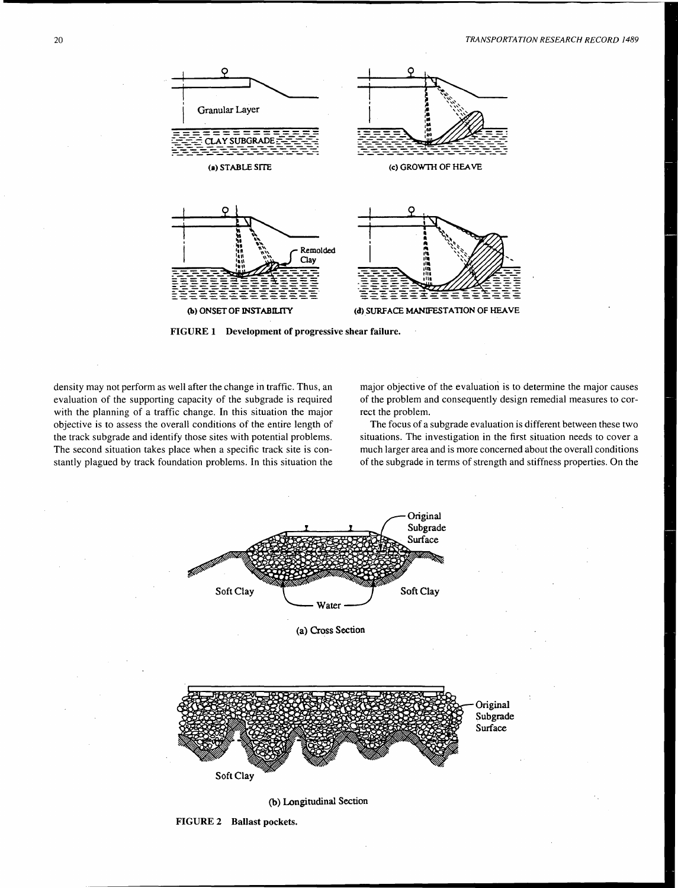

FIGURE 1 Development of progressive shear failure.

density may not perform as well after the change in traffic. Thus, an evaluation of the supporting capacity of the subgrade is required with the planning of a traffic change. In this situation the major objective is to assess the overall conditions of the entire length of the track subgrade and identify those sites with potential problems. The second situation takes place when a specific track site is constantly plagued by track foundation problems. In this situation the major objective of the evaluation is to determine the major causes of the problem and consequently design remedial measures to correct the problem.

The focus of a subgrade evaluation is different between these two situations. The investigation in the first situation needs to cover a much larger area and is more concerned about the overall conditions of the subgrade in terms of strength and stiffness properties. On the



(b) Longitudinal Section

FIGURE 2 Ballast pockets.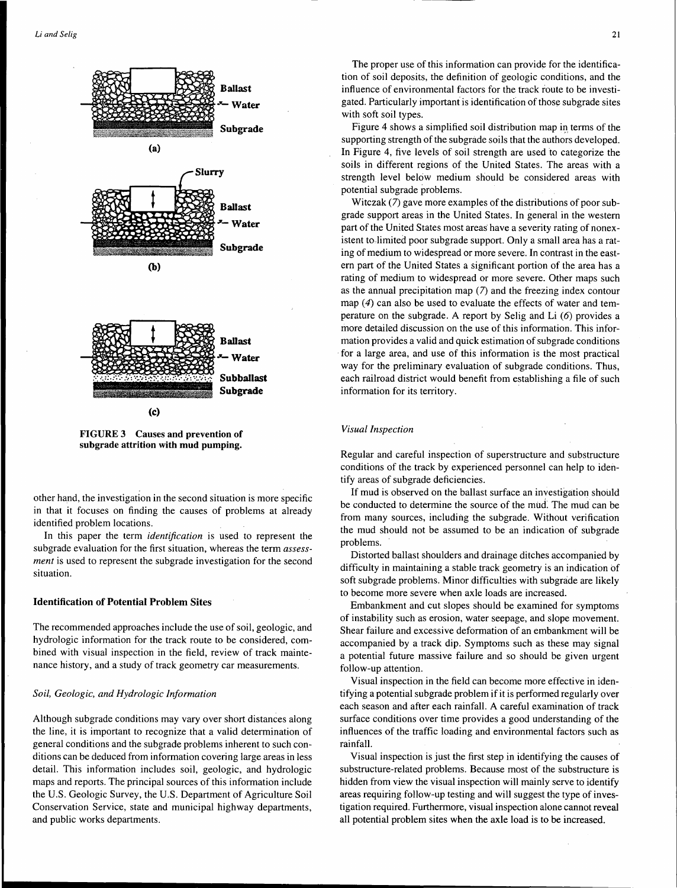

**FIGURE** 3 Causes **and prevention of subgrade attrition with mud pumping.** 

other hand, the investigation in the second situation is more specific in that it focuses on finding the causes of problems at already identified problem locations.

In this paper the term *identification* is used to represent the subgrade evaluation for the first situation, whereas the term *assessment* is used to represent the subgrade investigation for the second situation.

#### **Identification of Potential Problem Sites**

The recommended approaches include the use of soil, geologic, and hydrologic information for the track route to be considered, combined with visual inspection in the field, review of track maintenance history, and a study of track geometry car measurements.

#### *Soil, Geologic, and Hydrologic Information*

Although subgrade conditions may vary over short distances along the line, it is important to recognize that a valid determination of general conditions and the subgrade problems inherent to such conditions can be deduced from information covering large areas in less detail. This information includes soil, geologic, and hydrologic maps and reports. The principal sources of this information include the U.S. Geologic Survey, the U.S. Department of Agriculture Soil Conservation Service, state and municipal highway departments, and public works departments.

The proper use of this information can provide for the identification of soil deposits, the definition of geologic conditions, and the influence of environmental factors for the track route to be investigated. Particularly important is identification of those subgrade sites with soft soil types.

Figure 4 shows a simplified soil distribution map in terms of the supporting strength of the subgrade soils that the authors developed. In Figure 4, five levels of soil strength are used to categorize the soils in different regions of the United States. The areas with a strength level below medium should be considered areas with potential subgrade problems.

Witczak (7) gave more examples of the distributions of poor subgrade support areas in the United States. In general in the western part of the United States most areas have a severity rating of nonexistent to.limited poor subgrade support. Only a small area has a rating of medium to widespread or more severe. In contrast in the eastern part of the United States a significant portion of the area has a rating of medium to widespread or more severe. Other maps such as the annual precipitation map (7) and the freezing index contour map  $(4)$  can also be used to evaluate the effects of water and temperature on the subgrade. A report by Selig and Li (6) provides a more detailed discussion on the use of this information. This information provides a valid and quick estimation of subgrade conditions for a large area, and use of this information is the most practical way for the preliminary evaluation of subgrade conditions. Thus, each railroad district would benefit from establishing a file of such information for its territory.

#### *Visual Inspection*

Regular and careful inspection of superstructure and substructure conditions of the track by experienced personnel can help to identify areas of subgrade deficiencies.

If mud is observed on the ballast surface an investigation should be conducted to determine the source of the mud. The mud can be from many sources, including the subgrade. Without verification the mud should not be assumed to be an indication of subgrade problems.

Distorted ballast shoulders and drainage ditches accompanied by difficulty in maintaining a stable track geometry is an indication of soft subgrade problems. Minor difficulties with subgrade are likely to become more severe when axle loads are increased.

Embankment and cut slopes should be examined for symptoms of instability such as erosion, water seepage, and slope movement. Shear failure and excessive deformation of an embankment will be accompanied by a track dip. Symptoms such as these may signal a potential future massive failure and so should be given urgent follow-up attention.

Visual inspection in the field can become more effective in identifying a potential subgrade problem if it is performed regularly over each season and after each rainfall. A careful examination of track surface conditions over time provides a good understanding of the influences of the traffic loading and environmental factors such as rainfall.

Visual inspection is just the first step in identifying the causes of substructure-related problems. Because most of the substructure is hidden from view the visual inspection will mainly serve to identify areas requiring follow-up testing and will suggest the type of investigation required. Furthermore, visual inspection alone cannot reveal all potential problem sites when the axle load is to be increased.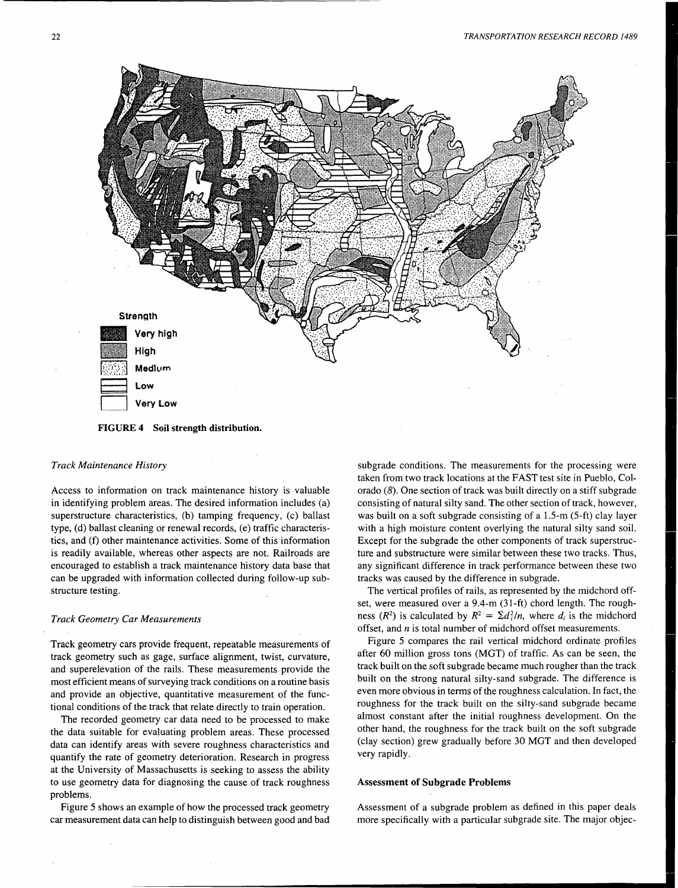

FIGURE 4 Soil strength distribution.

#### *Track Maintenance History*

Access to information on track maintenance history is valuable in identifying problem areas. The desired information includes (a) superstructure characteristics, (b) tamping frequency, (c) ballast type, (d) ballast cleaning or renewal records, (e) traffic characteristics, and (f) other maintenance activities. Some of this information is readily available, whereas other aspects are not. Railroads are encouraged to establish a track maintenance history data base that can be upgraded with information collected during follow-up substructure testing.

#### *Track Geometry Car Measurements*

Track geometry cars provide frequent, repeatable measurements of track geometry such as gage, surface alignment, twist, curvature, and superelevation of the rails. These measurements provide the most efficient means of surveying track conditions on a routine basis and provide an objective, quantitative measurement of the functional conditions of the track that relate directly to train operation.

The recorded geometry car data need to be processed to make the data suitable for evaluating problem areas. These processed data can identify areas with severe roughness characteristics and quantify the rate of geometry deterioration. Research in progress at the University of Massachusetts is seeking to assess the ability to use geometry data for diagnosing the cause of track roughness problems.

Figure 5 shows an example of how the processed track geometry car measurement data can help to distinguish between good and bad subgrade conditions. The measurements for the processing were taken from two track locations at the FAST test site in Pueblo, Colorado  $(8)$ . One section of track was built directly on a stiff subgrade consisting of natural silty sand. The other section of track, however, was built on a soft subgrade consisting of a 1.5-m (5-ft) clay layer with a high moisture content overlying the natural silty sand soil. Except for the subgrade the other components of track superstructure and substructure were similar between these two tracks. Thus, any significant difference in track performance between these two tracks was caused by the difference in subgrade.

The vertical profiles of rails, as represented by the midchord offset, were measured over a 9.4-m (31-ft) chord length. The roughness ( $R^2$ ) is calculated by  $R^2 = \sum d_i^2/n$ , where  $d_i$  is the midchord offset, and  $n$  is total number of midchord offset measurements.

Figure 5 compares the rail vertical midchord ordinate profiles after 60 million gross tons (MGT) of traffic. As can be seen, the track built on the soft subgrade became much rougher than the track built on the strong natural silty-sand subgrade. The difference is even more obvious in terms of the roughness calculation. In fact, the roughness for the track built on the silty-sand subgrade became almost constant after the initial roughness development. On the other hand, the roughness for the track built on the soft subgrade (clay section) grew gradually before 30 MGT and then developed very rapidly.

#### Assessment of Subgrade Problems

Assessment of a subgrade problem as defined in this paper deals more specifically with a particular subgrade site. The major objec-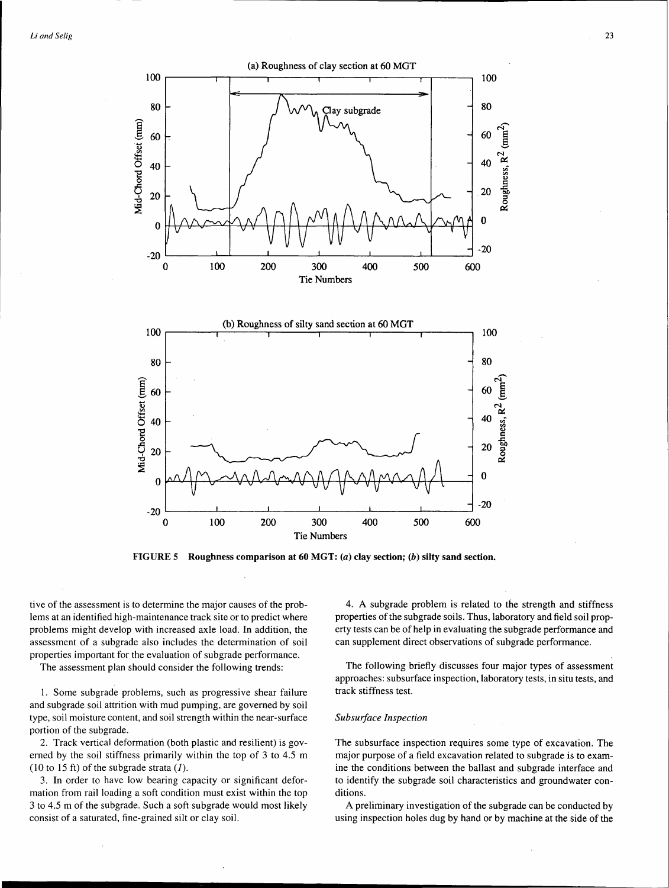



FIGURE 5 Roughness comparison at 60 MGT:  $(a)$  clay section;  $(b)$  silty sand section.

tive of the assessment is to determine the major causes of the problems at an identified high-maintenance track site or to predict where problems might develop with increased axle load. In addition, the assessment of a subgrade also includes the determination of soil properties important for the evaluation of subgrade performance.

The assessment plan should consider the following trends:

1. Some subgrade problems, such as progressive shear failure and subgrade soil attrition with mud pumping, are governed by soil type, soil moisture content, and soil strength within the near-surface portion of the subgrade.

2. Track vertical deformation (both plastic and resilient) is governed by the soil stiffness primarily within the top of 3 to 4.5 m (10 to 15 ft) of the subgrade strata  $(1)$ .

3. In order to have low bearing capacity or significant deformation from rail loading a soft condition must exist within the top 3 to 4.5 m of the subgrade. Such a soft subgrade would most likely consist of a saturated, fine-grained silt or clay soil.

4. A subgrade problem is related to the strength and stiffness properties of the subgrade soils. Thus, laboratory and field soil property tests can be of help in evaluating the subgrade performance and can supplement direct observations of subgrade performance.

The following briefly discusses four major types of assessment approaches: subsurface inspection, laboratory tests, in situ tests, and track stiffness test.

#### *Subsurface Inspection*

The subsurface inspection requires some type of excavation. The major purpose of a field excavation related to subgrade is to examine the conditions between the ballast and subgrade interface and to identify the subgrade soil characteristics and groundwater conditions.

A preliminary investigation of the subgrade can be conducted by using inspection holes dug by hand or by machine at the side of the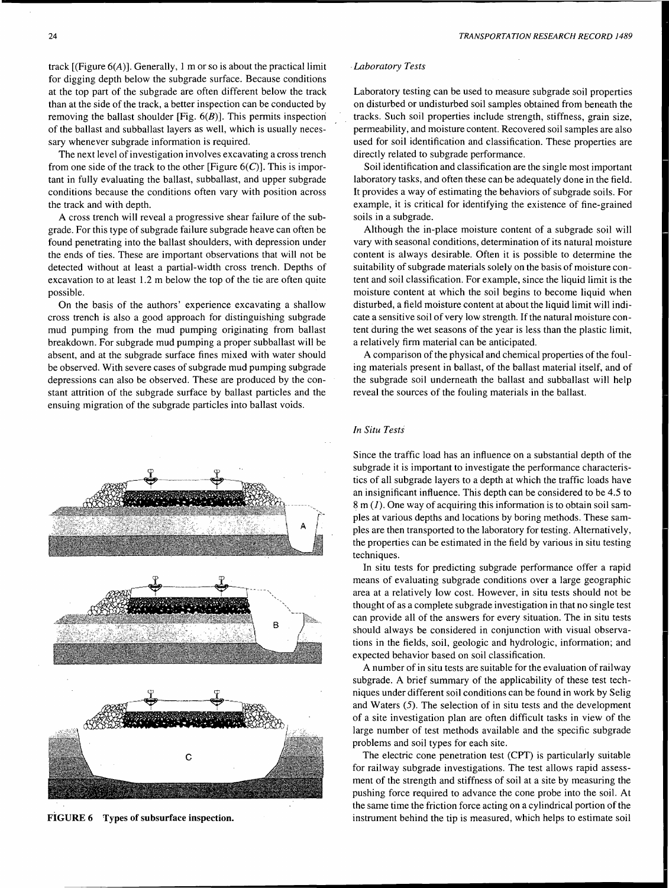track  $[(Figure 6(A)].$  Generally, 1 m or so is about the practical limit for digging depth below the subgrade surface. Because conditions at the top part of the subgrade are often different below the track than at the side of the track, a better inspection can be conducted by removing the ballast shoulder [Fig.  $6(B)$ ]. This permits inspection of the ballast and subballast layers as well, which is usually necessary whenever subgrade information is required.

The next level of investigation involves excavating a cross trench from one side of the track to the other [Figure  $6(C)$ ]. This is important in fully evaluating the ballast, subballast, and upper subgrade conditions because the conditions often vary with position across the track and with depth.

A cross trench will reveal a progressive shear failure of the subgrade. For this type of subgrade failure subgrade heave can often be found penetrating into the ballast shoulders, with depression under the ends of ties. These are important observations that will not be detected without at least a partial-width cross trench. Depths of excavation to at least 1.2 m below the top of the tie are often quite possible.

On the basis of the authors' experience excavating a shallow cross trench is also a good approach for distinguishing subgrade mud pumping from the mud pumping originating from ballast breakdown. For subgrade mud pumping a proper subballast will be absent, and at the subgrade surface fines mixed with water should be observed. With severe cases of subgrade mud pumping subgrade depressions can also be observed. These are produced by the constant attrition of the subgrade surface by ballast particles and the ensuing migration of the subgrade particles into ballast voids.



FiGURE 6 Types of subsurface inspection.

#### . *Laboratory Tests*

Laboratory testing can be used to measure subgrade soil properties on disturbed or undisturbed soil samples obtained from beneath the tracks. Such soil properties include strength, stiffness, grain size, permeability, and moisture content. Recovered soil samples are also used for soil identification and classification. These properties are directly related to subgrade performance.

Soil identification and classification are the single most important laboratory tasks, and often these can be adequately done in the field. It provides a way of estimating the behaviors of subgrade soils. For example, it is critical for identifying the existence of fine-grained soils in a subgrade.

Although the in-place moisture content of a subgrade soil will vary with seasonal conditions, determination of its natural moisture content is always desirable. Often it is possible to determine the suitability of subgrade materials solely on the basis of moisture content and soil classification. For example, since the liquid limit is the moisture content at which the soil begins to become liquid when disturbed, a field moisture content at about the liquid limit will indicate a sensitive soil of very low strength. If the natural moisture content during the wet seasons of the year is less than the plastic limit, a relatively firm material can be anticipated.

A comparison of the physical and chemical properties of the fouling materials present in ballast, of the ballast material itself, and of the subgrade soil underneath the ballast and subballast will help reveal the sources of the fouling materials in the ballast.

#### *In Situ Tests*

Since the traffic load has an influence on a substantial depth of the subgrade it is important to investigate the performance characteristics of all subgrade layers to a depth at which the traffic loads have an insignificant influence. This depth can be considered to be 4.5 to  $8 \text{ m}$  (1). One way of acquiring this information is to obtain soil samples at various depths and locations by boring methods. These samples are then transported to the laboratory for testing. Alternatively, the properties can be estimated in the field by various in situ testing techniques.

In situ tests for predicting subgrade performance offer a rapid means of evaluating subgrade conditions over a large geographic area at a relatively low cost. However, in situ tests should not be thought of as a complete subgrade investigation in that no single test can provide all of the answers for every situation. The in situ tests should always be considered in conjunction with visual observations in the fields, soil, geologic and hydrologic, information; and expected behavior based on soil classification.

A number of in situ tests are suitable for the evaluation of railway subgrade. A brief summary of the applicability of these test techniques under different soil conditions can be found in work by Selig and Waters (5). The selection of in situ tests and the development of a site investigation plan are often difficult tasks in view of the large number of test methods available and the specific subgrade problems and soil types for each site.

The electric cone penetration test (CPT) is particularly suitable for railway subgrade investigations. The test allows rapid assessment of the strength and stiffness of soil at a site by measuring the pushing force required to advance the cone probe into the soil. At the same time the friction force acting on a cylindrical portion of the instrument behind the tip is measured, which helps to estimate soil